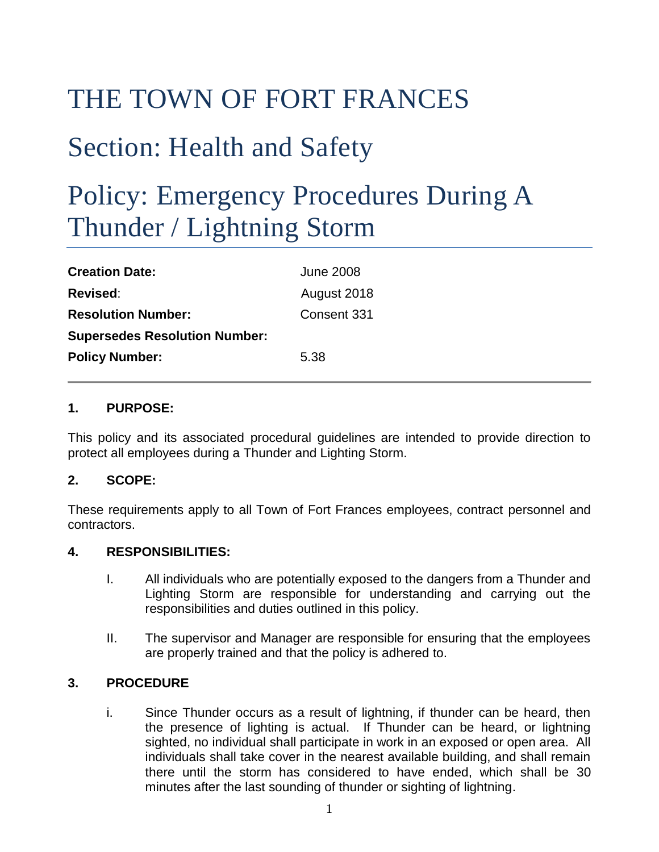# THE TOWN OF FORT FRANCES

### Section: Health and Safety

## Policy: Emergency Procedures During A Thunder / Lightning Storm

| <b>Creation Date:</b>                | <b>June 2008</b> |
|--------------------------------------|------------------|
| <b>Revised:</b>                      | August 2018      |
| <b>Resolution Number:</b>            | Consent 331      |
| <b>Supersedes Resolution Number:</b> |                  |
| <b>Policy Number:</b>                | 5.38             |

#### **1. PURPOSE:**

This policy and its associated procedural guidelines are intended to provide direction to protect all employees during a Thunder and Lighting Storm.

#### **2. SCOPE:**

These requirements apply to all Town of Fort Frances employees, contract personnel and contractors.

#### **4. RESPONSIBILITIES:**

- I. All individuals who are potentially exposed to the dangers from a Thunder and Lighting Storm are responsible for understanding and carrying out the responsibilities and duties outlined in this policy.
- II. The supervisor and Manager are responsible for ensuring that the employees are properly trained and that the policy is adhered to.

#### **3. PROCEDURE**

i. Since Thunder occurs as a result of lightning, if thunder can be heard, then the presence of lighting is actual. If Thunder can be heard, or lightning sighted, no individual shall participate in work in an exposed or open area. All individuals shall take cover in the nearest available building, and shall remain there until the storm has considered to have ended, which shall be 30 minutes after the last sounding of thunder or sighting of lightning.